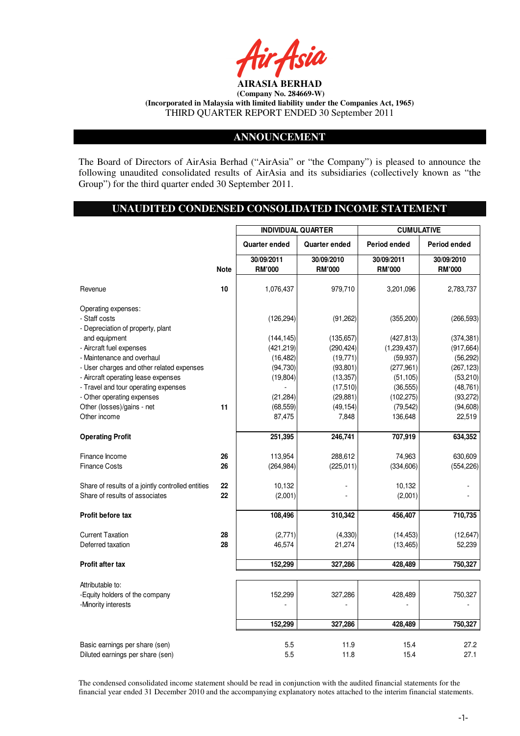

### **ANNOUNCEMENT**

The Board of Directors of AirAsia Berhad ("AirAsia" or "the Company") is pleased to announce the following unaudited consolidated results of AirAsia and its subsidiaries (collectively known as "the Group") for the third quarter ended 30 September 2011.

# **UNAUDITED CONDENSED CONSOLIDATED INCOME STATEMENT**

|                                                                                     |             | <b>INDIVIDUAL QUARTER</b> |               | <b>CUMULATIVE</b> |               |
|-------------------------------------------------------------------------------------|-------------|---------------------------|---------------|-------------------|---------------|
|                                                                                     |             | Quarter ended             | Quarter ended | Period ended      | Period ended  |
|                                                                                     |             | 30/09/2011                | 30/09/2010    | 30/09/2011        | 30/09/2010    |
|                                                                                     | <b>Note</b> | <b>RM'000</b>             | <b>RM'000</b> | <b>RM'000</b>     | <b>RM'000</b> |
| Revenue                                                                             | 10          | 1,076,437                 | 979,710       | 3,201,096         | 2,783,737     |
| Operating expenses:<br>- Staff costs<br>- Depreciation of property, plant           |             | (126, 294)                | (91, 262)     | (355, 200)        | (266, 593)    |
| and equipment                                                                       |             | (144, 145)                | (135, 657)    | (427, 813)        | (374, 381)    |
| - Aircraft fuel expenses                                                            |             | (421, 219)                | (290, 424)    | (1,239,437)       | (917, 664)    |
| - Maintenance and overhaul                                                          |             | (16, 482)                 | (19, 771)     | (59, 937)         | (56, 292)     |
| - User charges and other related expenses                                           |             | (94, 730)                 | (93, 801)     | (277, 961)        | (267, 123)    |
| - Aircraft operating lease expenses                                                 |             | (19, 804)                 | (13, 357)     | (51, 105)         | (53, 210)     |
| - Travel and tour operating expenses                                                |             |                           | (17, 510)     | (36, 555)         | (48, 761)     |
| - Other operating expenses                                                          |             | (21, 284)                 | (29, 881)     | (102, 275)        | (93, 272)     |
| Other (losses)/gains - net                                                          | 11          | (68, 559)                 | (49, 154)     | (79, 542)         | (94, 608)     |
| Other income                                                                        |             | 87,475                    | 7,848         | 136,648           | 22,519        |
| <b>Operating Profit</b>                                                             |             | 251,395                   | 246,741       | 707,919           | 634,352       |
| Finance Income                                                                      | 26          | 113,954                   | 288,612       | 74,963            | 630,609       |
| <b>Finance Costs</b>                                                                | 26          | (264, 984)                | (225, 011)    | (334, 606)        | (554, 226)    |
| Share of results of a jointly controlled entities<br>Share of results of associates | 22<br>22    | 10,132<br>(2,001)         |               | 10,132<br>(2,001) |               |
| Profit before tax                                                                   |             | 108,496                   | 310,342       | 456,407           | 710,735       |
|                                                                                     |             |                           |               |                   |               |
| <b>Current Taxation</b>                                                             | 28          | (2,771)                   | (4, 330)      | (14, 453)         | (12, 647)     |
| Deferred taxation                                                                   | 28          | 46,574                    | 21,274        | (13, 465)         | 52,239        |
| Profit after tax                                                                    |             | 152,299                   | 327.286       | 428.489           | 750,327       |
|                                                                                     |             |                           |               |                   |               |
| Attributable to:<br>-Equity holders of the company<br>-Minority interests           |             | 152,299                   | 327,286       | 428,489           | 750,327       |
|                                                                                     |             | 152,299                   | 327,286       | 428,489           | 750,327       |
|                                                                                     |             |                           |               |                   |               |
| Basic earnings per share (sen)<br>Diluted earnings per share (sen)                  |             | 5.5<br>5.5                | 11.9<br>11.8  | 15.4<br>15.4      | 27.2<br>27.1  |

The condensed consolidated income statement should be read in conjunction with the audited financial statements for the financial year ended 31 December 2010 and the accompanying explanatory notes attached to the interim financial statements.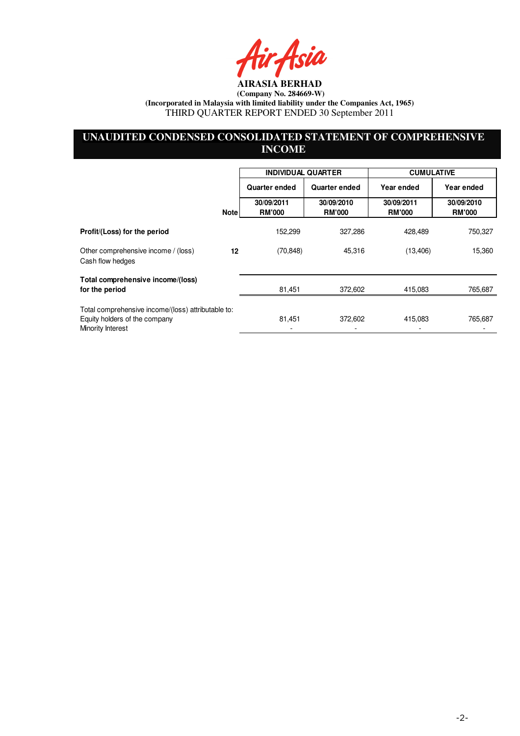ir Asia

# **UNAUDITED CONDENSED CONSOLIDATED STATEMENT OF COMPREHENSIVE INCOME**

|                                                                                                          |             | <b>INDIVIDUAL QUARTER</b>   |                             | <b>CUMULATIVE</b>           |                             |
|----------------------------------------------------------------------------------------------------------|-------------|-----------------------------|-----------------------------|-----------------------------|-----------------------------|
|                                                                                                          |             | Quarter ended               | Quarter ended               | Year ended                  | Year ended                  |
|                                                                                                          | <b>Note</b> | 30/09/2011<br><b>RM'000</b> | 30/09/2010<br><b>RM'000</b> | 30/09/2011<br><b>RM'000</b> | 30/09/2010<br><b>RM'000</b> |
| Profit/(Loss) for the period                                                                             |             | 152,299                     | 327,286                     | 428,489                     | 750,327                     |
| Other comprehensive income / (loss)<br>Cash flow hedges                                                  | 12          | (70, 848)                   | 45,316                      | (13, 406)                   | 15,360                      |
| Total comprehensive income/(loss)<br>for the period                                                      |             | 81,451                      | 372,602                     | 415,083                     | 765,687                     |
| Total comprehensive income/(loss) attributable to:<br>Equity holders of the company<br>Minority Interest |             | 81,451                      | 372,602                     | 415,083                     | 765,687                     |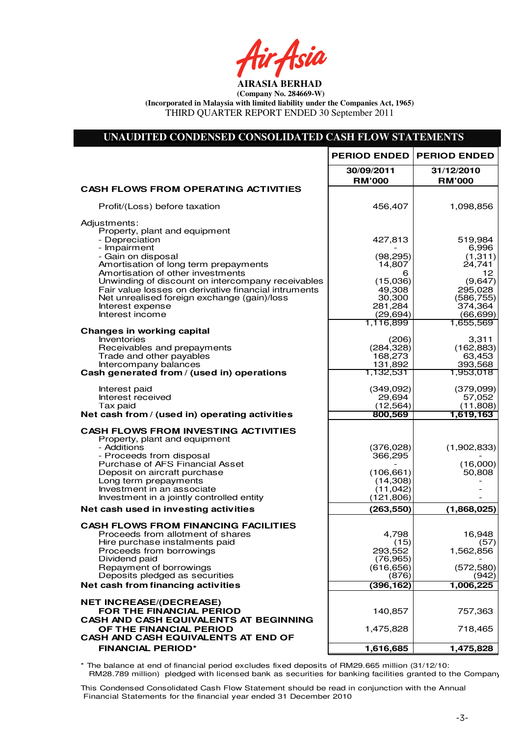fir<sub>t</sub>fsia

# **UNAUDITED CONDENSED CONSOLIDATED CASH FLOW STATEMENTS**

|                                                                            | <b>PERIOD ENDED</b>         | <b>PERIOD ENDED</b>         |
|----------------------------------------------------------------------------|-----------------------------|-----------------------------|
|                                                                            | 30/09/2011<br><b>RM'000</b> | 31/12/2010<br><b>RM'000</b> |
| <b>CASH FLOWS FROM OPERATING ACTIVITIES</b>                                |                             |                             |
| Profit/(Loss) before taxation                                              | 456,407                     | 1,098,856                   |
| Adjustments:                                                               |                             |                             |
| Property, plant and equipment<br>- Depreciation                            | 427,813                     | 519,984                     |
| - Impairment                                                               |                             | 6,996                       |
| - Gain on disposal                                                         | (98, 295)                   | (1,311)                     |
| Amortisation of long term prepayments<br>Amortisation of other investments | 14,807<br>6                 | 24,741<br>12.               |
| Unwinding of discount on intercompany receivables                          | (15,036)                    | (9,647)                     |
| Fair value losses on derivative financial intruments                       | 49,308                      | 295,028                     |
| Net unrealised foreign exchange (gain)/loss<br>Interest expense            | 30,300<br>281,284           | (586, 755)<br>374,364       |
| Interest income                                                            | (29, 694)                   | (66, 699)                   |
|                                                                            | 1,116,899                   | 1,655,569                   |
| <b>Changes in working capital</b>                                          |                             |                             |
| <b>Inventories</b><br>Receivables and prepayments                          | (206)<br>(284, 328)         | 3,311<br>(162, 883)         |
| Trade and other payables                                                   | 168,273                     | 63,453                      |
| Intercompany balances                                                      | 131,892                     | 393,568                     |
| Cash generated from / (used in) operations                                 | 1,132,531                   | 1,953,018                   |
| Interest paid                                                              | (349,092)                   | (379,099)                   |
| Interest received                                                          | 29,694                      | 57,052                      |
| Tax paid<br>Net cash from / (used in) operating activities                 | (12, 564)<br>800,569        | (11,808)<br>1,619,163       |
|                                                                            |                             |                             |
| <b>CASH FLOWS FROM INVESTING ACTIVITIES</b>                                |                             |                             |
| Property, plant and equipment<br>- Additions                               | (376, 028)                  | (1,902,833)                 |
| - Proceeds from disposal                                                   | 366,295                     |                             |
| Purchase of AFS Financial Asset                                            |                             | (16,000)                    |
| Deposit on aircraft purchase<br>Long term prepayments                      | (106, 661)<br>(14,308)      | 50,808                      |
| Investment in an associate                                                 | (11, 042)                   |                             |
| Investment in a jointly controlled entity                                  | (121, 806)                  |                             |
| Net cash used in investing activities                                      | (263, 550)                  | (1,868,025)                 |
| <b>CASH FLOWS FROM FINANCING FACILITIES</b>                                |                             |                             |
| Proceeds from allotment of shares                                          | 4,798                       | 16,948                      |
| Hire purchase instalments paid                                             | (15)                        | (57)<br>1,562,856           |
| Proceeds from borrowings<br>Dividend paid                                  | 293,552<br>(76, 965)        |                             |
| Repayment of borrowings                                                    | (616, 656)                  | (572, 580)                  |
| Deposits pledged as securities                                             | (876)                       | (942)                       |
| Net cash from financing activities                                         | (396, 162)                  | 1,006,225                   |
| <b>NET INCREASE/(DECREASE)</b>                                             |                             |                             |
| FOR THE FINANCIAL PERIOD                                                   | 140,857                     | 757,363                     |
| <b>CASH AND CASH EQUIVALENTS AT BEGINNING</b>                              |                             |                             |
| OF THE FINANCIAL PERIOD<br><b>CASH AND CASH EQUIVALENTS AT END OF</b>      | 1,475,828                   | 718,465                     |
| <b>FINANCIAL PERIOD*</b>                                                   | 1,616,685                   | 1,475,828                   |
|                                                                            |                             |                             |

\* The balance at end of financial period excludes fixed deposits of RM29.665 million (31/12/10: RM28.789 million) pledged with licensed bank as securities for banking facilities granted to the Company

This Condensed Consolidated Cash Flow Statement should be read in conjunction with the Annual Financial Statements for the financial year ended 31 December 2010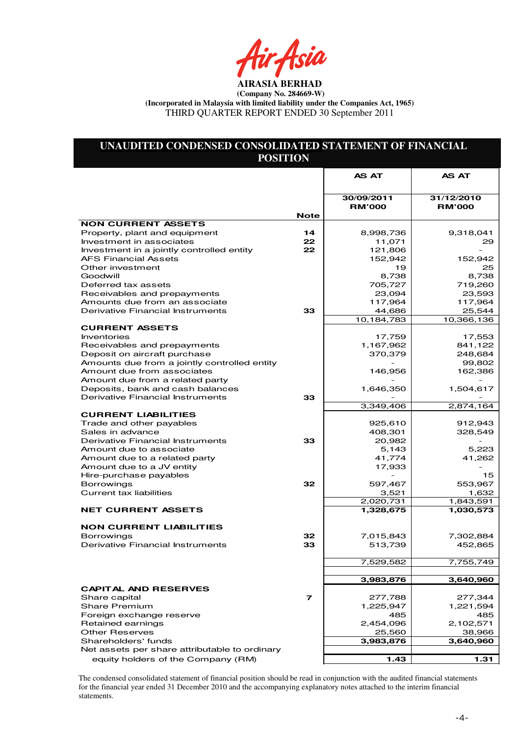fir<sub>t</sub>fsia

# **UNAUDITED CONDENSED CONSOLIDATED STATEMENT OF FINANCIAL POSITION**

|                                                                   |             | <b>AS AT</b>      | <b>AS AT</b>      |
|-------------------------------------------------------------------|-------------|-------------------|-------------------|
|                                                                   |             |                   |                   |
|                                                                   |             | 30/09/2011        | 31/12/2010        |
|                                                                   | <b>Note</b> | <b>RM'000</b>     | <b>RM'000</b>     |
| <b>NON CURRENT ASSETS</b>                                         |             |                   |                   |
| Property, plant and equipment                                     | 14          | 8,998,736         | 9,318,041         |
| Investment in associates                                          | 22          | 11,071            | 29                |
| Investment in a jointly controlled entity                         | 22          | 121,806           |                   |
| <b>AFS Financial Assets</b>                                       |             | 152,942           | 152.942           |
| Other investment                                                  |             | 19                | 25                |
| Goodwill                                                          |             | 8.738             | 8,738             |
| Deferred tax assets                                               |             | 705,727           | 719,260           |
| Receivables and prepayments                                       |             | 23,094            | 23,593            |
| Amounts due from an associate<br>Derivative Financial Instruments | 33          | 117,964<br>44,686 | 117,964<br>25,544 |
|                                                                   |             | 10,184,783        | 10,366,136        |
| <b>CURRENT ASSETS</b>                                             |             |                   |                   |
| <b>Inventories</b>                                                |             | 17,759            | 17,553            |
| Receivables and prepayments                                       |             | 1,167,962         | 841,122           |
| Deposit on aircraft purchase                                      |             | 370,379           | 248,684           |
| Amounts due from a jointly controlled entity                      |             |                   | 99,802            |
| Amount due from associates                                        |             | 146,956           | 162,386           |
| Amount due from a related party                                   |             |                   |                   |
| Deposits, bank and cash balances                                  |             | 1,646,350         | 1,504,617         |
| Derivative Financial Instruments                                  | 33          |                   |                   |
|                                                                   |             | 3,349,406         | 2,874,164         |
| <b>CURRENT LIABILITIES</b>                                        |             |                   |                   |
| Trade and other payables                                          |             | 925,610           | 912,943           |
| Sales in advance<br>Derivative Financial Instruments              | 33          | 408,301<br>20,982 | 328,549           |
| Amount due to associate                                           |             | 5,143             | 5,223             |
| Amount due to a related party                                     |             | 41,774            | 41,262            |
| Amount due to a JV entity                                         |             | 17,933            |                   |
| Hire-purchase payables                                            |             |                   | 15.               |
| <b>Borrowings</b>                                                 | 32          | 597,467           | 553,967           |
| Current tax liabilities                                           |             | 3,521             | 1,632             |
|                                                                   |             | 2,020,731         | 1,843,591         |
| <b>NET CURRENT ASSETS</b>                                         |             | 1,328,675         | 1,030,573         |
|                                                                   |             |                   |                   |
| <b>NON CURRENT LIABILITIES</b>                                    |             |                   |                   |
| <b>Borrowings</b>                                                 | 32          | 7,015,843         | 7,302,884         |
| Derivative Financial Instruments                                  | 33          | 513,739           | 452,865           |
|                                                                   |             | 7,529,582         | 7,755,749         |
|                                                                   |             |                   |                   |
|                                                                   |             | 3,983,876         | 3,640,960         |
| <b>CAPITAL AND RESERVES</b>                                       |             |                   |                   |
| Share capital                                                     | 7           | 277,788           | 277,344           |
| <b>Share Premium</b>                                              |             | 1,225,947         | 1,221,594         |
| Foreign exchange reserve                                          |             | 485               | 485               |
| Retained earnings                                                 |             | 2,454,096         | 2,102,571         |
| <b>Other Reserves</b>                                             |             | 25,560            | 38,966            |
| Shareholders' funds                                               |             | 3,983,876         | 3,640,960         |
| Net assets per share attributable to ordinary                     |             |                   |                   |
| equity holders of the Company (RM)                                |             | 1.43              | 1.31              |

The condensed consolidated statement of financial position should be read in conjunction with the audited financial statements for the financial year ended 31 December 2010 and the accompanying explanatory notes attached to the interim financial statements.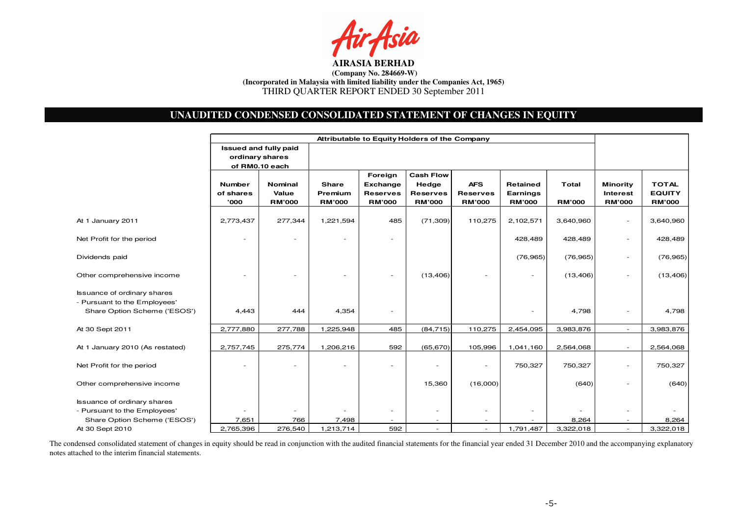

# **UNAUDITED CONDENSED CONSOLIDATED STATEMENT OF CHANGES IN EQUITY**

|                                                                                                    | Attributable to Equity Holders of the Company              |                                          |                                          |                                                                |                                                               |                                                |                                       |                               |                                                     |                                                |
|----------------------------------------------------------------------------------------------------|------------------------------------------------------------|------------------------------------------|------------------------------------------|----------------------------------------------------------------|---------------------------------------------------------------|------------------------------------------------|---------------------------------------|-------------------------------|-----------------------------------------------------|------------------------------------------------|
|                                                                                                    | Issued and fully paid<br>ordinary shares<br>of RM0.10 each |                                          |                                          |                                                                |                                                               |                                                |                                       |                               |                                                     |                                                |
|                                                                                                    | <b>Number</b><br>of shares<br>'000                         | <b>Nominal</b><br>Value<br><b>RM'000</b> | <b>Share</b><br>Premium<br><b>RM'000</b> | Foreign<br><b>Exchange</b><br><b>Reserves</b><br><b>RM'000</b> | <b>Cash Flow</b><br>Hedge<br><b>Reserves</b><br><b>RM'000</b> | <b>AFS</b><br><b>Reserves</b><br><b>RM'000</b> | Retained<br>Earnings<br><b>RM'000</b> | <b>Total</b><br><b>RM'000</b> | <b>Minority</b><br><b>Interest</b><br><b>RM'000</b> | <b>TOTAL</b><br><b>EQUITY</b><br><b>RM'000</b> |
| At 1 January 2011                                                                                  | 2,773,437                                                  | 277,344                                  | 1,221,594                                | 485                                                            | (71, 309)                                                     | 110,275                                        | 2,102,571                             | 3,640,960                     | $\overline{\phantom{a}}$                            | 3,640,960                                      |
| Net Profit for the period                                                                          | $\overline{\phantom{a}}$                                   |                                          | $\overline{a}$                           | $\overline{\phantom{a}}$                                       |                                                               |                                                | 428,489                               | 428,489                       | $\overline{\phantom{a}}$                            | 428,489                                        |
| Dividends paid                                                                                     |                                                            |                                          |                                          |                                                                |                                                               |                                                | (76, 965)                             | (76, 965)                     | $\overline{\phantom{a}}$                            | (76, 965)                                      |
| Other comprehensive income                                                                         |                                                            |                                          |                                          |                                                                | (13, 406)                                                     | $\qquad \qquad -$                              | $\overline{\phantom{a}}$              | (13, 406)                     | $\overline{\phantom{a}}$                            | (13, 406)                                      |
| <b>Issuance of ordinary shares</b><br>- Pursuant to the Employees'<br>Share Option Scheme ('ESOS') | 4,443                                                      | 444                                      | 4,354                                    | $\overline{\phantom{a}}$                                       |                                                               |                                                |                                       | 4,798                         | $\overline{\phantom{a}}$                            | 4,798                                          |
| At 30 Sept 2011                                                                                    | 2,777,880                                                  | 277,788                                  | 1,225,948                                | 485                                                            | (84, 715)                                                     | 110,275                                        | 2,454,095                             | 3,983,876                     | $\overline{\phantom{a}}$                            | 3,983,876                                      |
| At 1 January 2010 (As restated)                                                                    | 2,757,745                                                  | 275,774                                  | 1,206,216                                | 592                                                            | (65, 670)                                                     | 105,996                                        | 1,041,160                             | 2,564,068                     |                                                     | 2,564,068                                      |
| Net Profit for the period                                                                          | $\overline{\phantom{a}}$                                   |                                          |                                          |                                                                |                                                               | $\overline{\phantom{0}}$                       | 750,327                               | 750,327                       | $\overline{\phantom{a}}$                            | 750,327                                        |
| Other comprehensive income                                                                         |                                                            |                                          |                                          |                                                                | 15,360                                                        | (16,000)                                       |                                       | (640)                         | $\overline{\phantom{a}}$                            | (640)                                          |
| <b>Issuance of ordinary shares</b><br>- Pursuant to the Employees'                                 | $\overline{\phantom{a}}$                                   |                                          |                                          | $\overline{\phantom{a}}$                                       | $\overline{\phantom{a}}$                                      | $\qquad \qquad -$                              | $\overline{\phantom{a}}$              |                               | $\overline{\phantom{a}}$                            |                                                |
| Share Option Scheme ('ESOS')                                                                       | 7,651                                                      | 766                                      | 7,498                                    |                                                                |                                                               |                                                |                                       | 8,264                         |                                                     | 8,264                                          |
| At 30 Sept 2010                                                                                    | 2,765,396                                                  | 276,540                                  | 1,213,714                                | 592                                                            | $\overline{\phantom{a}}$                                      | $\overline{\phantom{a}}$                       | 1,791,487                             | 3,322,018                     | $\overline{\phantom{a}}$                            | 3,322,018                                      |

The condensed consolidated statement of changes in equity should be read in conjunction with the audited financial statements for the financial year ended 31 December 2010 and the accompanying explanatory notes attached to the interim financial statements.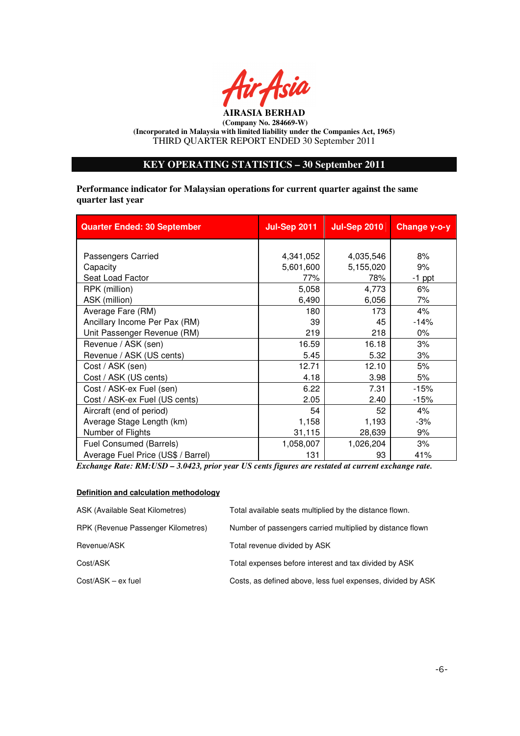

## **KEY OPERATING STATISTICS – 30 September 2011**

**Performance indicator for Malaysian operations for current quarter against the same quarter last year** 

| <b>Quarter Ended: 30 September</b> | <b>Jul-Sep 2011</b> | <b>Jul-Sep 2010</b> | Change y-o-y |
|------------------------------------|---------------------|---------------------|--------------|
|                                    |                     |                     |              |
| Passengers Carried                 | 4,341,052           | 4,035,546           | 8%           |
| Capacity                           | 5,601,600           | 5,155,020           | 9%           |
| Seat Load Factor                   | 77%                 | 78%                 | $-1$ ppt     |
| RPK (million)                      | 5,058               | 4,773               | 6%           |
| ASK (million)                      | 6,490               | 6,056               | 7%           |
| Average Fare (RM)                  | 180                 | 173                 | 4%           |
| Ancillary Income Per Pax (RM)      | 39                  | 45                  | $-14%$       |
| Unit Passenger Revenue (RM)        | 219                 | 218                 | 0%           |
| Revenue / ASK (sen)                | 16.59               | 16.18               | 3%           |
| Revenue / ASK (US cents)           | 5.45                | 5.32                | 3%           |
| Cost / ASK (sen)                   | 12.71               | 12.10               | 5%           |
| Cost / ASK (US cents)              | 4.18                | 3.98                | 5%           |
| Cost / ASK-ex Fuel (sen)           | 6.22                | 7.31                | $-15%$       |
| Cost / ASK-ex Fuel (US cents)      | 2.05                | 2.40                | $-15%$       |
| Aircraft (end of period)           | 54                  | 52                  | 4%           |
| Average Stage Length (km)          | 1,158               | 1,193               | -3%          |
| Number of Flights                  | 31,115              | 28,639              | 9%           |
| Fuel Consumed (Barrels)            | 1,058,007           | 1,026,204           | 3%           |
| Average Fuel Price (US\$ / Barrel) | 131                 | 93                  | 41%          |

*Exchange Rate: RM:USD – 3.0423, prior year US cents figures are restated at current exchange rate.* 

#### **Definition and calculation methodology**

| ASK (Available Seat Kilometres)    | Total available seats multiplied by the distance flown.     |
|------------------------------------|-------------------------------------------------------------|
| RPK (Revenue Passenger Kilometres) | Number of passengers carried multiplied by distance flown   |
| Revenue/ASK                        | Total revenue divided by ASK                                |
| Cost/ASK                           | Total expenses before interest and tax divided by ASK       |
| $Cost/ASK - ex fuel$               | Costs, as defined above, less fuel expenses, divided by ASK |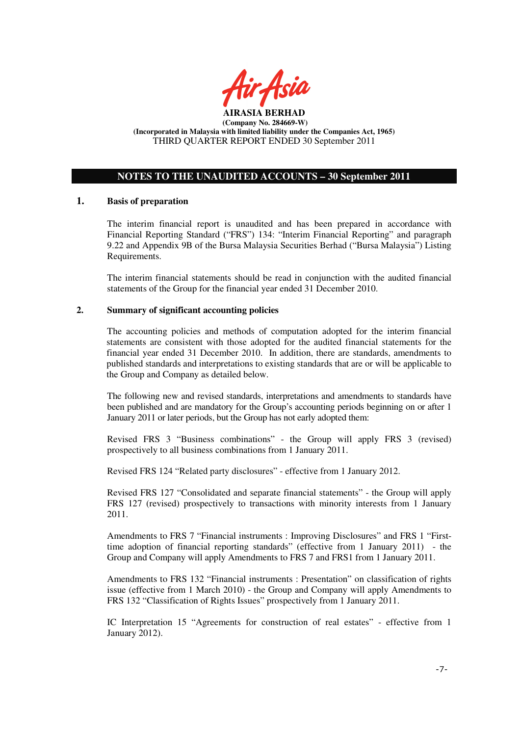

#### **NOTES TO THE UNAUDITED ACCOUNTS – 30 September 2011**

#### **1. Basis of preparation**

The interim financial report is unaudited and has been prepared in accordance with Financial Reporting Standard ("FRS") 134: "Interim Financial Reporting" and paragraph 9.22 and Appendix 9B of the Bursa Malaysia Securities Berhad ("Bursa Malaysia") Listing Requirements.

The interim financial statements should be read in conjunction with the audited financial statements of the Group for the financial year ended 31 December 2010.

## **2. Summary of significant accounting policies**

The accounting policies and methods of computation adopted for the interim financial statements are consistent with those adopted for the audited financial statements for the financial year ended 31 December 2010. In addition, there are standards, amendments to published standards and interpretations to existing standards that are or will be applicable to the Group and Company as detailed below.

The following new and revised standards, interpretations and amendments to standards have been published and are mandatory for the Group's accounting periods beginning on or after 1 January 2011 or later periods, but the Group has not early adopted them:

Revised FRS 3 "Business combinations" - the Group will apply FRS 3 (revised) prospectively to all business combinations from 1 January 2011.

Revised FRS 124 "Related party disclosures" - effective from 1 January 2012.

Revised FRS 127 "Consolidated and separate financial statements" - the Group will apply FRS 127 (revised) prospectively to transactions with minority interests from 1 January 2011.

Amendments to FRS 7 "Financial instruments : Improving Disclosures" and FRS 1 "Firsttime adoption of financial reporting standards" (effective from 1 January 2011) - the Group and Company will apply Amendments to FRS 7 and FRS1 from 1 January 2011.

Amendments to FRS 132 "Financial instruments : Presentation" on classification of rights issue (effective from 1 March 2010) - the Group and Company will apply Amendments to FRS 132 "Classification of Rights Issues" prospectively from 1 January 2011.

IC Interpretation 15 "Agreements for construction of real estates" - effective from 1 January 2012).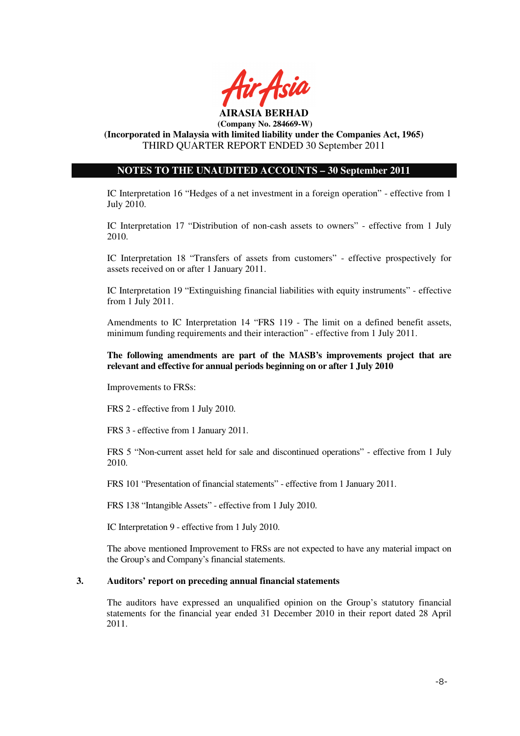

## **NOTES TO THE UNAUDITED ACCOUNTS – 30 September 2011**

IC Interpretation 16 "Hedges of a net investment in a foreign operation" - effective from 1 July 2010.

IC Interpretation 17 "Distribution of non-cash assets to owners" - effective from 1 July 2010.

IC Interpretation 18 "Transfers of assets from customers" - effective prospectively for assets received on or after 1 January 2011.

IC Interpretation 19 "Extinguishing financial liabilities with equity instruments" - effective from 1 July 2011.

Amendments to IC Interpretation 14 "FRS 119 - The limit on a defined benefit assets, minimum funding requirements and their interaction" - effective from 1 July 2011.

#### **The following amendments are part of the MASB's improvements project that are relevant and effective for annual periods beginning on or after 1 July 2010**

Improvements to FRSs:

FRS 2 - effective from 1 July 2010.

FRS 3 - effective from 1 January 2011.

FRS 5 "Non-current asset held for sale and discontinued operations" - effective from 1 July 2010.

FRS 101 "Presentation of financial statements" - effective from 1 January 2011.

FRS 138 "Intangible Assets" - effective from 1 July 2010.

IC Interpretation 9 - effective from 1 July 2010.

The above mentioned Improvement to FRSs are not expected to have any material impact on the Group's and Company's financial statements.

#### **3. Auditors' report on preceding annual financial statements**

The auditors have expressed an unqualified opinion on the Group's statutory financial statements for the financial year ended 31 December 2010 in their report dated 28 April 2011.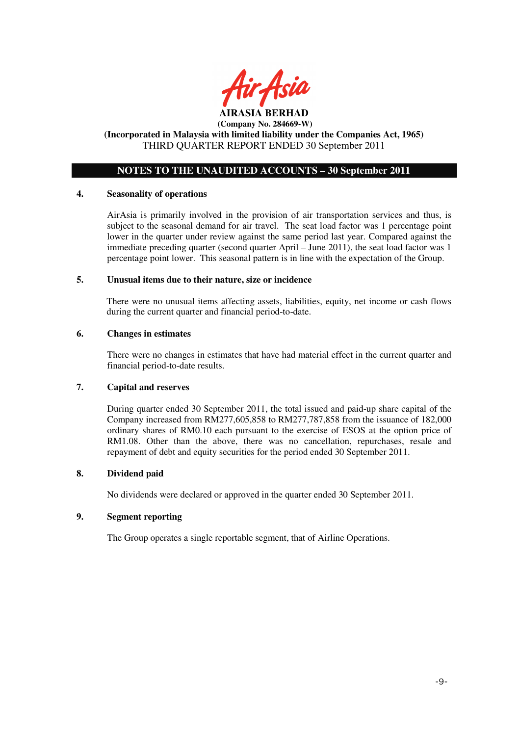

# **NOTES TO THE UNAUDITED ACCOUNTS – 30 September 2011**

#### **4. Seasonality of operations**

AirAsia is primarily involved in the provision of air transportation services and thus, is subject to the seasonal demand for air travel. The seat load factor was 1 percentage point lower in the quarter under review against the same period last year. Compared against the immediate preceding quarter (second quarter April – June 2011), the seat load factor was 1 percentage point lower. This seasonal pattern is in line with the expectation of the Group.

#### **5. Unusual items due to their nature, size or incidence**

There were no unusual items affecting assets, liabilities, equity, net income or cash flows during the current quarter and financial period-to-date.

#### **6. Changes in estimates**

There were no changes in estimates that have had material effect in the current quarter and financial period-to-date results.

## **7. Capital and reserves**

During quarter ended 30 September 2011, the total issued and paid-up share capital of the Company increased from RM277,605,858 to RM277,787,858 from the issuance of 182,000 ordinary shares of RM0.10 each pursuant to the exercise of ESOS at the option price of RM1.08. Other than the above, there was no cancellation, repurchases, resale and repayment of debt and equity securities for the period ended 30 September 2011.

#### **8. Dividend paid**

No dividends were declared or approved in the quarter ended 30 September 2011.

## **9. Segment reporting**

The Group operates a single reportable segment, that of Airline Operations.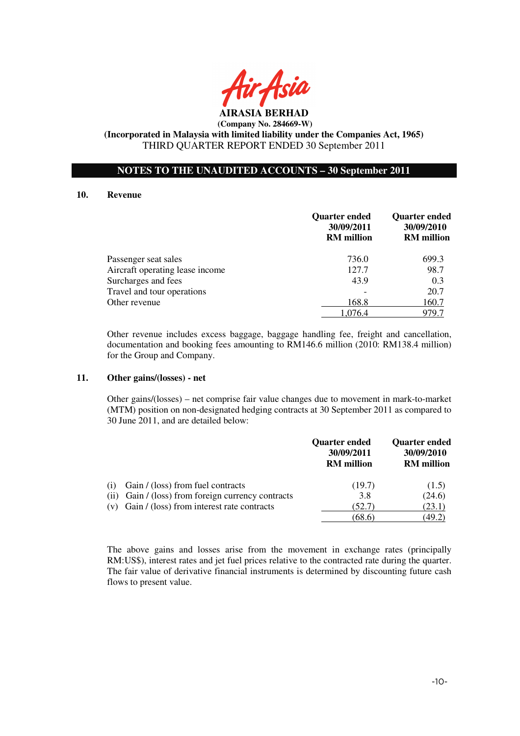

## **NOTES TO THE UNAUDITED ACCOUNTS – 30 September 2011**

#### **10. Revenue**

|                                 | <b>Quarter ended</b><br>30/09/2011<br><b>RM</b> million | <b>Quarter ended</b><br>30/09/2010<br><b>RM</b> million |
|---------------------------------|---------------------------------------------------------|---------------------------------------------------------|
| Passenger seat sales            | 736.0                                                   | 699.3                                                   |
| Aircraft operating lease income | 127.7                                                   | 98.7                                                    |
| Surcharges and fees             | 43.9                                                    | 0.3                                                     |
| Travel and tour operations      |                                                         | 20.7                                                    |
| Other revenue                   | 168.8                                                   | 160.7                                                   |
|                                 | 1.076.4                                                 | 979.7                                                   |

Other revenue includes excess baggage, baggage handling fee, freight and cancellation, documentation and booking fees amounting to RM146.6 million (2010: RM138.4 million) for the Group and Company.

#### **11. Other gains/(losses) - net**

 Other gains/(losses) – net comprise fair value changes due to movement in mark-to-market (MTM) position on non-designated hedging contracts at 30 September 2011 as compared to 30 June 2011, and are detailed below:

|     |                                                    | <b>Quarter ended</b><br>30/09/2011<br><b>RM</b> million | <b>Quarter ended</b><br>30/09/2010<br><b>RM</b> million |
|-----|----------------------------------------------------|---------------------------------------------------------|---------------------------------------------------------|
| (1) | Gain / (loss) from fuel contracts                  | (19.7)                                                  | (1.5)                                                   |
|     | (ii) Gain / (loss) from foreign currency contracts | 3.8                                                     | (24.6)                                                  |
|     | $(v)$ Gain / (loss) from interest rate contracts   | (52.7)                                                  | (23.1)                                                  |
|     |                                                    | (68.6)                                                  | (49.2)                                                  |

The above gains and losses arise from the movement in exchange rates (principally RM:US\$), interest rates and jet fuel prices relative to the contracted rate during the quarter. The fair value of derivative financial instruments is determined by discounting future cash flows to present value.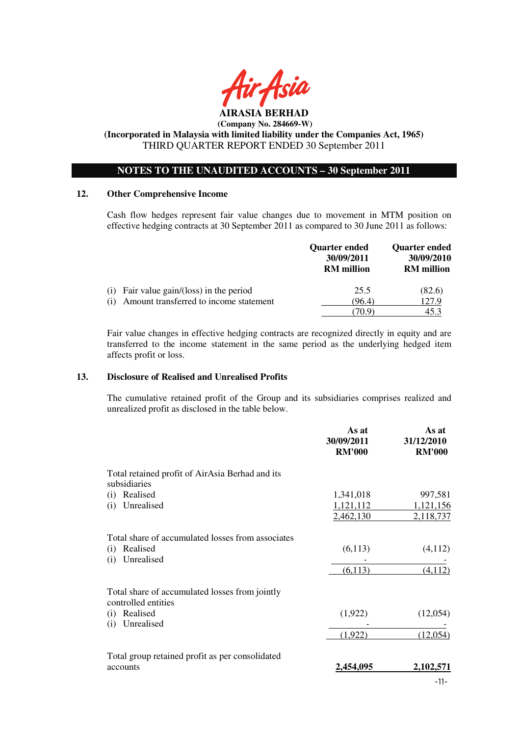

 **(Company No. 284669-W)** 

**(Incorporated in Malaysia with limited liability under the Companies Act, 1965)**  THIRD QUARTER REPORT ENDED 30 September 2011

## **NOTES TO THE UNAUDITED ACCOUNTS – 30 September 2011**

#### **12. Other Comprehensive Income**

Cash flow hedges represent fair value changes due to movement in MTM position on effective hedging contracts at 30 September 2011 as compared to 30 June 2011 as follows:

|                                               | Quarter ended<br>30/09/2011<br><b>RM</b> million | <b>Quarter ended</b><br>30/09/2010<br><b>RM</b> million |
|-----------------------------------------------|--------------------------------------------------|---------------------------------------------------------|
| Fair value gain/(loss) in the period<br>(1)   | 25.5                                             | (82.6)                                                  |
| Amount transferred to income statement<br>(1) | (96.4)<br>70 9`                                  | 127.9<br>45.3                                           |

Fair value changes in effective hedging contracts are recognized directly in equity and are transferred to the income statement in the same period as the underlying hedged item affects profit or loss.

#### **13. Disclosure of Realised and Unrealised Profits**

The cumulative retained profit of the Group and its subsidiaries comprises realized and unrealized profit as disclosed in the table below.

|                                                                       | As at<br>30/09/2011<br><b>RM'000</b> | As at<br>31/12/2010<br><b>RM'000</b> |
|-----------------------------------------------------------------------|--------------------------------------|--------------------------------------|
| Total retained profit of AirAsia Berhad and its<br>subsidiaries       |                                      |                                      |
| Realised<br>(i)                                                       | 1,341,018                            | 997,581                              |
| Unrealised<br>(i)                                                     | 1,121,112                            | 1,121,156                            |
|                                                                       | 2,462,130                            | 2,118,737                            |
| Total share of accumulated losses from associates                     |                                      |                                      |
| Realised<br>(i)<br>Unrealised<br>(i)                                  | (6,113)                              | (4,112)                              |
|                                                                       | (6,113)                              | (4, 112)                             |
| Total share of accumulated losses from jointly<br>controlled entities |                                      |                                      |
| Realised<br>(i)<br>Unrealised<br>(i)                                  | (1,922)                              | (12,054)                             |
|                                                                       | (1,922)                              | (12,054)                             |
| Total group retained profit as per consolidated                       |                                      |                                      |
| accounts                                                              | 2,454,095                            | 2,102,571                            |
|                                                                       |                                      | $\sim$                               |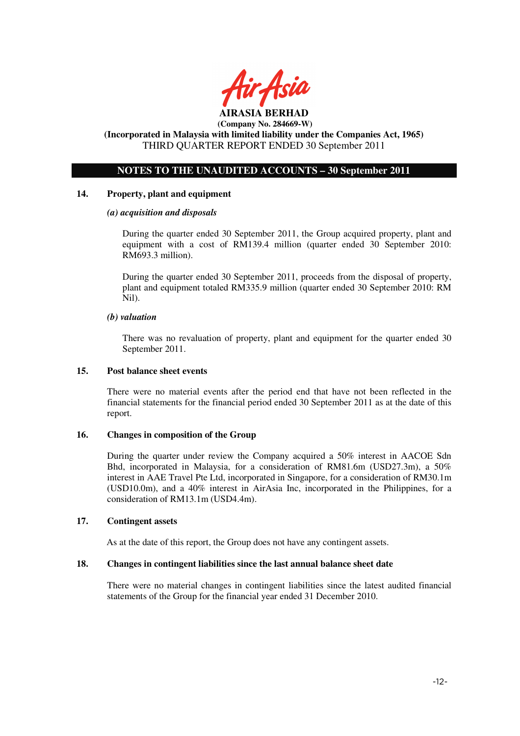

## **NOTES TO THE UNAUDITED ACCOUNTS – 30 September 2011**

## **14. Property, plant and equipment**

#### *(a) acquisition and disposals*

During the quarter ended 30 September 2011, the Group acquired property, plant and equipment with a cost of RM139.4 million (quarter ended 30 September 2010: RM693.3 million).

During the quarter ended 30 September 2011, proceeds from the disposal of property, plant and equipment totaled RM335.9 million (quarter ended 30 September 2010: RM Nil).

#### *(b) valuation*

 There was no revaluation of property, plant and equipment for the quarter ended 30 September 2011.

#### **15. Post balance sheet events**

There were no material events after the period end that have not been reflected in the financial statements for the financial period ended 30 September 2011 as at the date of this report.

## **16. Changes in composition of the Group**

During the quarter under review the Company acquired a 50% interest in AACOE Sdn Bhd, incorporated in Malaysia, for a consideration of RM81.6m (USD27.3m), a 50% interest in AAE Travel Pte Ltd, incorporated in Singapore, for a consideration of RM30.1m (USD10.0m), and a 40% interest in AirAsia Inc, incorporated in the Philippines, for a consideration of RM13.1m (USD4.4m).

## **17. Contingent assets**

As at the date of this report, the Group does not have any contingent assets.

## **18. Changes in contingent liabilities since the last annual balance sheet date**

There were no material changes in contingent liabilities since the latest audited financial statements of the Group for the financial year ended 31 December 2010.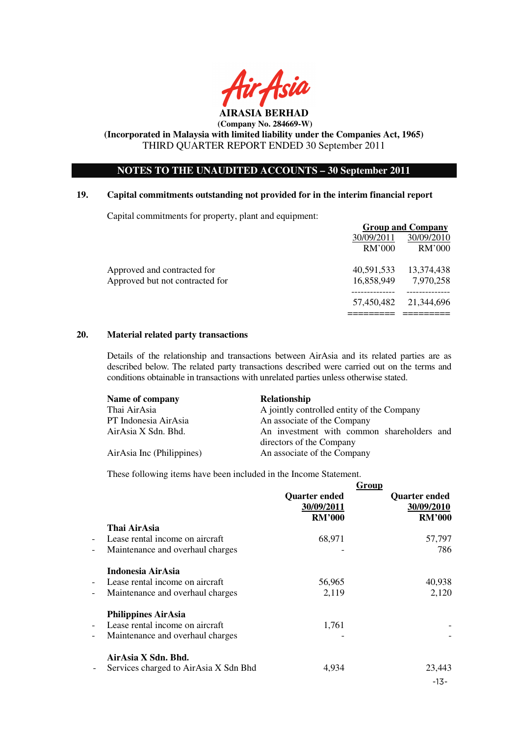

# **(Company No. 284669-W)**

## **(Incorporated in Malaysia with limited liability under the Companies Act, 1965)**  THIRD QUARTER REPORT ENDED 30 September 2011

## **NOTES TO THE UNAUDITED ACCOUNTS – 30 September 2011**

## **19. Capital commitments outstanding not provided for in the interim financial report**

Capital commitments for property, plant and equipment:

|                                 |            | <b>Group and Company</b> |
|---------------------------------|------------|--------------------------|
|                                 | 30/09/2011 | 30/09/2010               |
|                                 | RM'000     | RM'000                   |
| Approved and contracted for     | 40,591,533 | 13,374,438               |
| Approved but not contracted for | 16,858,949 | 7,970,258                |
|                                 | 57,450,482 | 21,344,696               |
|                                 |            |                          |

#### **20. Material related party transactions**

Details of the relationship and transactions between AirAsia and its related parties are as described below. The related party transactions described were carried out on the terms and conditions obtainable in transactions with unrelated parties unless otherwise stated.

| Name of company           | <b>Relationship</b>                        |
|---------------------------|--------------------------------------------|
| Thai AirAsia              | A jointly controlled entity of the Company |
| PT Indonesia AirAsia      | An associate of the Company                |
| AirAsia X Sdn. Bhd.       | An investment with common shareholders and |
|                           | directors of the Company                   |
| AirAsia Inc (Philippines) | An associate of the Company                |

These following items have been included in the Income Statement.

|                          |                                       | <b>Quarter ended</b><br>30/09/2011<br><b>RM'000</b> | Group<br><b>Quarter ended</b><br>30/09/2010<br><b>RM'000</b> |
|--------------------------|---------------------------------------|-----------------------------------------------------|--------------------------------------------------------------|
|                          | Thai AirAsia                          |                                                     |                                                              |
| $\overline{\phantom{a}}$ | Lease rental income on aircraft       | 68,971                                              | 57,797                                                       |
| $\qquad \qquad -$        | Maintenance and overhaul charges      |                                                     | 786                                                          |
|                          | Indonesia AirAsia                     |                                                     |                                                              |
| $\overline{\phantom{a}}$ | Lease rental income on aircraft       | 56,965                                              | 40,938                                                       |
| $\qquad \qquad -$        | Maintenance and overhaul charges      | 2,119                                               | 2,120                                                        |
|                          | <b>Philippines AirAsia</b>            |                                                     |                                                              |
| $\overline{\phantom{a}}$ | Lease rental income on aircraft       | 1,761                                               |                                                              |
| $\qquad \qquad -$        | Maintenance and overhaul charges      |                                                     |                                                              |
|                          | AirAsia X Sdn. Bhd.                   |                                                     |                                                              |
| $\overline{\phantom{a}}$ | Services charged to AirAsia X Sdn Bhd | 4,934                                               | 23,443                                                       |
|                          |                                       |                                                     | $-13-$                                                       |
|                          |                                       |                                                     |                                                              |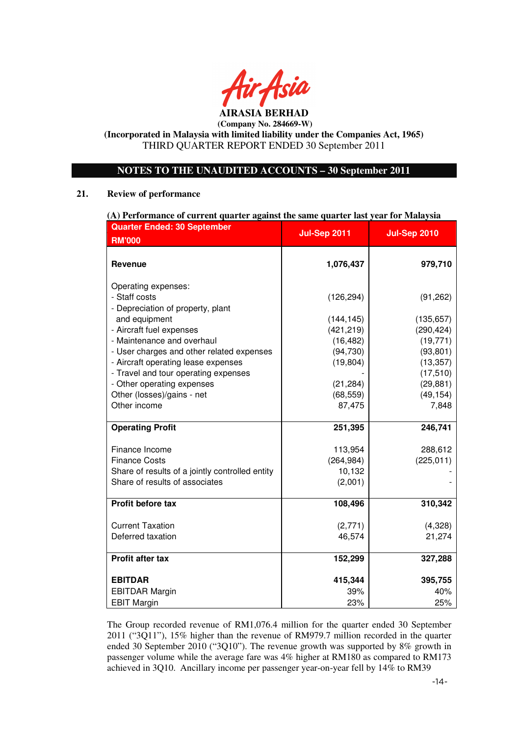

# **NOTES TO THE UNAUDITED ACCOUNTS – 30 September 2011**

## **21. Review of performance**

| (A) Performance of current quarter against the same quarter last year for Malaysia         |                          |                         |  |
|--------------------------------------------------------------------------------------------|--------------------------|-------------------------|--|
| <b>Quarter Ended: 30 September</b>                                                         | <b>Jul-Sep 2011</b>      | <b>Jul-Sep 2010</b>     |  |
| <b>RM'000</b>                                                                              |                          |                         |  |
| Revenue                                                                                    | 1,076,437                | 979,710                 |  |
| Operating expenses:<br>- Staff costs<br>- Depreciation of property, plant<br>and equipment | (126, 294)<br>(144, 145) | (91, 262)<br>(135, 657) |  |
| - Aircraft fuel expenses                                                                   | (421, 219)               | (290, 424)              |  |
| - Maintenance and overhaul                                                                 | (16, 482)                | (19, 771)               |  |
| - User charges and other related expenses                                                  | (94, 730)                | (93, 801)               |  |
| - Aircraft operating lease expenses                                                        | (19, 804)                | (13, 357)               |  |
| - Travel and tour operating expenses                                                       |                          | (17, 510)               |  |
| - Other operating expenses                                                                 | (21, 284)                | (29, 881)               |  |
| Other (losses)/gains - net                                                                 | (68, 559)                | (49, 154)               |  |
| Other income                                                                               | 87,475                   | 7,848                   |  |
|                                                                                            |                          |                         |  |
| <b>Operating Profit</b>                                                                    | 251,395                  | 246,741                 |  |
|                                                                                            |                          |                         |  |
| Finance Income                                                                             | 113,954                  | 288,612                 |  |
| <b>Finance Costs</b>                                                                       | (264, 984)               | (225, 011)              |  |
| Share of results of a jointly controlled entity                                            | 10,132                   |                         |  |
| Share of results of associates                                                             | (2,001)                  |                         |  |
|                                                                                            |                          |                         |  |
| <b>Profit before tax</b>                                                                   | 108,496                  | 310,342                 |  |
|                                                                                            |                          |                         |  |
| <b>Current Taxation</b>                                                                    | (2,771)                  | (4,328)                 |  |
| Deferred taxation                                                                          | 46,574                   | 21,274                  |  |
|                                                                                            |                          |                         |  |
| Profit after tax                                                                           | 152,299                  | 327,288                 |  |
|                                                                                            |                          |                         |  |
| <b>EBITDAR</b>                                                                             | 415,344                  | 395,755                 |  |
| <b>EBITDAR Margin</b>                                                                      | 39%                      | 40%                     |  |
| <b>EBIT Margin</b>                                                                         | 23%                      | 25%                     |  |

The Group recorded revenue of RM1,076.4 million for the quarter ended 30 September 2011 ("3Q11"), 15% higher than the revenue of RM979.7 million recorded in the quarter ended 30 September 2010 ("3Q10"). The revenue growth was supported by 8% growth in passenger volume while the average fare was 4% higher at RM180 as compared to RM173 achieved in 3Q10. Ancillary income per passenger year-on-year fell by 14% to RM39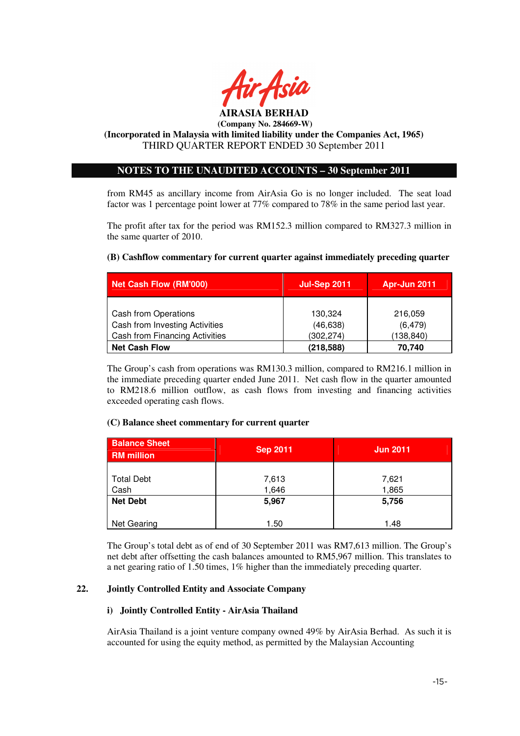

# **(Company No. 284669-W)**

**(Incorporated in Malaysia with limited liability under the Companies Act, 1965)**  THIRD QUARTER REPORT ENDED 30 September 2011

## **NOTES TO THE UNAUDITED ACCOUNTS – 30 September 2011**

from RM45 as ancillary income from AirAsia Go is no longer included. The seat load factor was 1 percentage point lower at 77% compared to 78% in the same period last year.

The profit after tax for the period was RM152.3 million compared to RM327.3 million in the same quarter of 2010.

**(B) Cashflow commentary for current quarter against immediately preceding quarter** 

# **Net Cash Flow (RM'000) Jul-Sep 2011 Apr-Jun 2011**  Cash from Operations 130,324 130,324 216,059 Cash from Investing Activities  $(46,638)$   $(6,479)$ Cash from Financing Activities (302,274) (138,840) **Net Cash Flow**  (218,588) 70,740

The Group's cash from operations was RM130.3 million, compared to RM216.1 million in the immediate preceding quarter ended June 2011. Net cash flow in the quarter amounted to RM218.6 million outflow, as cash flows from investing and financing activities exceeded operating cash flows.

## **(C) Balance sheet commentary for current quarter**

| <b>Balance Sheet</b><br><b>RM</b> million | <b>Sep 2011</b> | <b>Jun 2011</b> |
|-------------------------------------------|-----------------|-----------------|
| <b>Total Debt</b><br>Cash                 | 7,613<br>1,646  | 7,621<br>1,865  |
| <b>Net Debt</b>                           | 5,967           | 5,756           |
| Net Gearing                               | 1.50            | 1.48            |

The Group's total debt as of end of 30 September 2011 was RM7,613 million. The Group's net debt after offsetting the cash balances amounted to RM5,967 million. This translates to a net gearing ratio of 1.50 times, 1% higher than the immediately preceding quarter.

# **22. Jointly Controlled Entity and Associate Company**

## **i) Jointly Controlled Entity - AirAsia Thailand**

AirAsia Thailand is a joint venture company owned 49% by AirAsia Berhad. As such it is accounted for using the equity method, as permitted by the Malaysian Accounting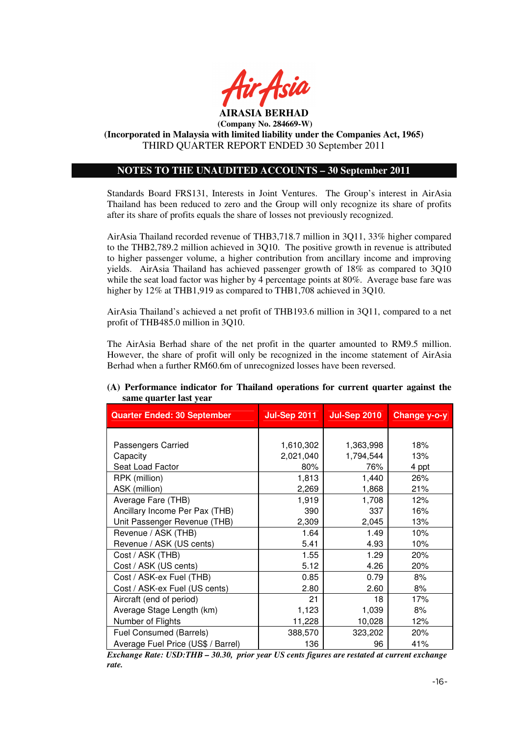

## **NOTES TO THE UNAUDITED ACCOUNTS – 30 September 2011**

Standards Board FRS131, Interests in Joint Ventures. The Group's interest in AirAsia Thailand has been reduced to zero and the Group will only recognize its share of profits after its share of profits equals the share of losses not previously recognized.

AirAsia Thailand recorded revenue of THB3,718.7 million in 3Q11, 33% higher compared to the THB2,789.2 million achieved in 3Q10. The positive growth in revenue is attributed to higher passenger volume, a higher contribution from ancillary income and improving yields. AirAsia Thailand has achieved passenger growth of 18% as compared to 3Q10 while the seat load factor was higher by 4 percentage points at 80%. Average base fare was higher by  $12\%$  at THB1,919 as compared to THB1,708 achieved in 3Q10.

AirAsia Thailand's achieved a net profit of THB193.6 million in 3Q11, compared to a net profit of THB485.0 million in 3Q10.

The AirAsia Berhad share of the net profit in the quarter amounted to RM9.5 million. However, the share of profit will only be recognized in the income statement of AirAsia Berhad when a further RM60.6m of unrecognized losses have been reversed.

| <b>Quarter Ended: 30 September</b> | <b>Jul-Sep 2011</b> | <b>Jul-Sep 2010</b> | Change y-o-y |
|------------------------------------|---------------------|---------------------|--------------|
|                                    |                     |                     |              |
| Passengers Carried                 | 1,610,302           | 1,363,998           | 18%          |
| Capacity                           | 2,021,040           | 1,794,544           | 13%          |
| Seat Load Factor                   | 80%                 | 76%                 | 4 ppt        |
| RPK (million)                      | 1,813               | 1,440               | 26%          |
| ASK (million)                      | 2,269               | 1,868               | 21%          |
| Average Fare (THB)                 | 1,919               | 1,708               | 12%          |
| Ancillary Income Per Pax (THB)     | 390                 | 337                 | 16%          |
| Unit Passenger Revenue (THB)       | 2,309               | 2,045               | 13%          |
| Revenue / ASK (THB)                | 1.64                | 1.49                | 10%          |
| Revenue / ASK (US cents)           | 5.41                | 4.93                | 10%          |
| Cost / ASK (THB)                   | 1.55                | 1.29                | 20%          |
| Cost / ASK (US cents)              | 5.12                | 4.26                | 20%          |
| Cost / ASK-ex Fuel (THB)           | 0.85                | 0.79                | 8%           |
| Cost / ASK-ex Fuel (US cents)      | 2.80                | 2.60                | 8%           |
| Aircraft (end of period)           | 21                  | 18                  | 17%          |
| Average Stage Length (km)          | 1,123               | 1,039               | 8%           |
| Number of Flights                  | 11,228              | 10,028              | 12%          |
| Fuel Consumed (Barrels)            | 388,570             | 323,202             | 20%          |
| Average Fuel Price (US\$ / Barrel) | 136                 | 96                  | 41%          |

#### **(A) Performance indicator for Thailand operations for current quarter against the same quarter last year**

*Exchange Rate: USD:THB – 30.30, prior year US cents figures are restated at current exchange rate.*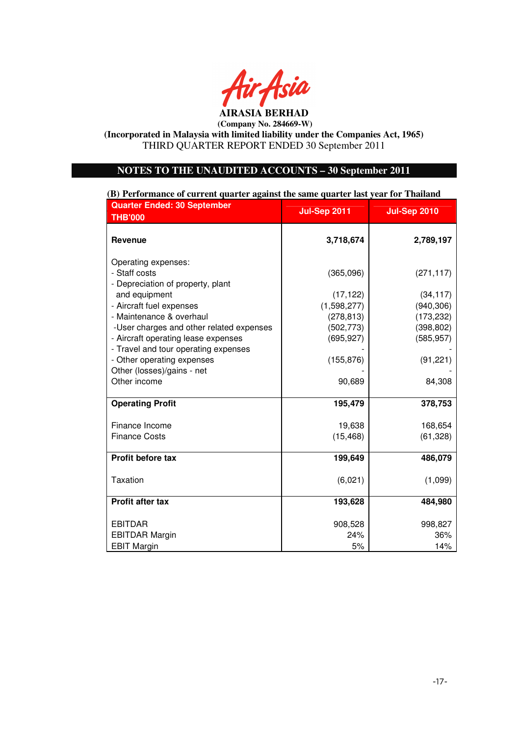

## **NOTES TO THE UNAUDITED ACCOUNTS – 30 September 2011**

**(B) Performance of current quarter against the same quarter last year for Thailand**

| <b>Quarter Ended: 30 September</b><br><b>THB'000</b>     | <b>Jul-Sep 2011</b> | <b>Jul-Sep 2010</b> |
|----------------------------------------------------------|---------------------|---------------------|
| <b>Revenue</b>                                           | 3,718,674           | 2,789,197           |
| Operating expenses:                                      |                     |                     |
| - Staff costs                                            | (365,096)           | (271, 117)          |
| - Depreciation of property, plant<br>and equipment       | (17, 122)           | (34, 117)           |
| - Aircraft fuel expenses                                 | (1,598,277)         | (940, 306)          |
| - Maintenance & overhaul                                 | (278, 813)          | (173, 232)          |
| -User charges and other related expenses                 | (502, 773)          | (398, 802)          |
| - Aircraft operating lease expenses                      | (695, 927)          | (585, 957)          |
| - Travel and tour operating expenses                     |                     |                     |
| - Other operating expenses<br>Other (losses)/gains - net | (155, 876)          | (91, 221)           |
| Other income                                             | 90,689              | 84,308              |
|                                                          |                     |                     |
| <b>Operating Profit</b>                                  | 195,479             | 378,753             |
| Finance Income                                           | 19,638              | 168,654             |
| <b>Finance Costs</b>                                     | (15, 468)           | (61, 328)           |
|                                                          |                     |                     |
| Profit before tax                                        | 199,649             | 486,079             |
| Taxation                                                 | (6,021)             | (1,099)             |
|                                                          |                     |                     |
| Profit after tax                                         | 193,628             | 484,980             |
| <b>EBITDAR</b>                                           | 908,528             | 998,827             |
| <b>EBITDAR Margin</b>                                    | 24%                 | 36%                 |
| <b>EBIT Margin</b>                                       | 5%                  | 14%                 |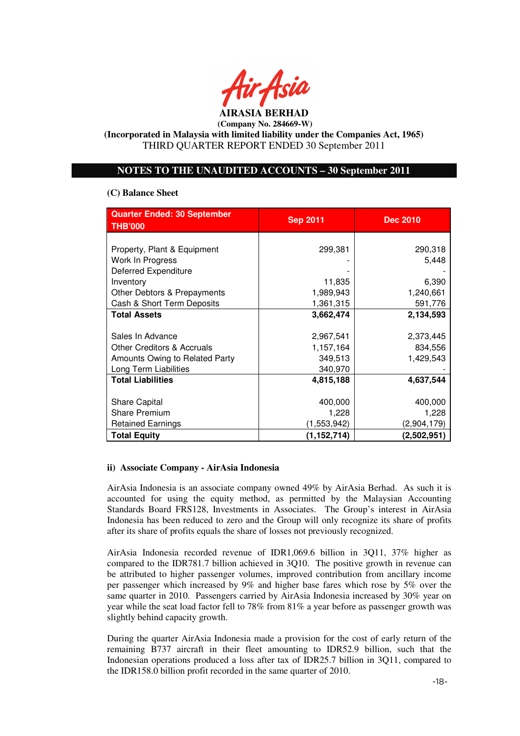

## **NOTES TO THE UNAUDITED ACCOUNTS – 30 September 2011**

## **(C) Balance Sheet**

| <b>Quarter Ended: 30 September</b><br><b>THB'000</b> | <b>Sep 2011</b> | <b>Dec 2010</b> |  |
|------------------------------------------------------|-----------------|-----------------|--|
|                                                      |                 |                 |  |
| Property, Plant & Equipment                          | 299,381         | 290,318         |  |
| Work In Progress                                     |                 | 5,448           |  |
| <b>Deferred Expenditure</b>                          |                 |                 |  |
| Inventory                                            | 11,835          | 6,390           |  |
| Other Debtors & Prepayments                          | 1,989,943       | 1,240,661       |  |
| Cash & Short Term Deposits                           | 1,361,315       | 591,776         |  |
| <b>Total Assets</b>                                  | 3,662,474       | 2,134,593       |  |
|                                                      |                 |                 |  |
| Sales In Advance                                     | 2,967,541       | 2,373,445       |  |
| <b>Other Creditors &amp; Accruals</b>                | 1,157,164       | 834,556         |  |
| Amounts Owing to Related Party                       | 349,513         | 1,429,543       |  |
| Long Term Liabilities                                | 340,970         |                 |  |
| <b>Total Liabilities</b>                             | 4,815,188       | 4,637,544       |  |
|                                                      |                 |                 |  |
| <b>Share Capital</b>                                 | 400,000         | 400,000         |  |
| <b>Share Premium</b>                                 | 1,228           | 1,228           |  |
| <b>Retained Earnings</b>                             | (1,553,942)     | (2,904,179)     |  |
| <b>Total Equity</b>                                  | (1, 152, 714)   | (2,502,951)     |  |

## **ii) Associate Company - AirAsia Indonesia**

AirAsia Indonesia is an associate company owned 49% by AirAsia Berhad. As such it is accounted for using the equity method, as permitted by the Malaysian Accounting Standards Board FRS128, Investments in Associates. The Group's interest in AirAsia Indonesia has been reduced to zero and the Group will only recognize its share of profits after its share of profits equals the share of losses not previously recognized.

AirAsia Indonesia recorded revenue of IDR1,069.6 billion in 3Q11, 37% higher as compared to the IDR781.7 billion achieved in 3Q10. The positive growth in revenue can be attributed to higher passenger volumes, improved contribution from ancillary income per passenger which increased by 9% and higher base fares which rose by 5% over the same quarter in 2010. Passengers carried by AirAsia Indonesia increased by 30% year on year while the seat load factor fell to 78% from 81% a year before as passenger growth was slightly behind capacity growth.

During the quarter AirAsia Indonesia made a provision for the cost of early return of the remaining B737 aircraft in their fleet amounting to IDR52.9 billion, such that the Indonesian operations produced a loss after tax of IDR25.7 billion in 3Q11, compared to the IDR158.0 billion profit recorded in the same quarter of 2010.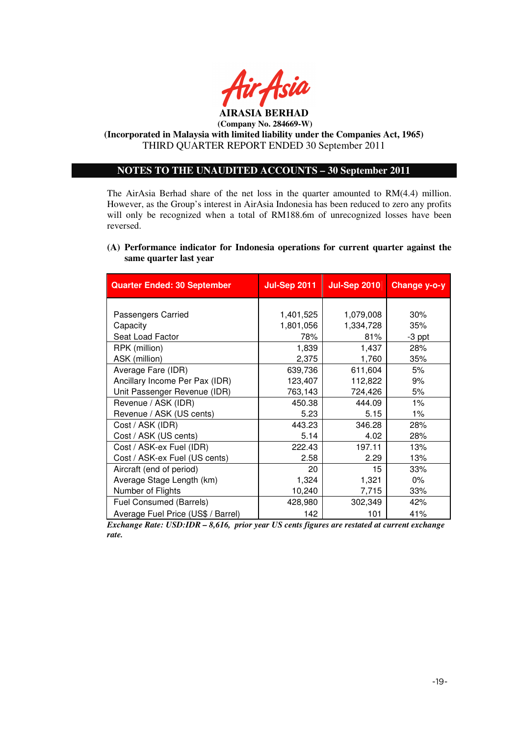

# **(Company No. 284669-W)**

**(Incorporated in Malaysia with limited liability under the Companies Act, 1965)**  THIRD QUARTER REPORT ENDED 30 September 2011

## **NOTES TO THE UNAUDITED ACCOUNTS – 30 September 2011**

The AirAsia Berhad share of the net loss in the quarter amounted to RM(4.4) million. However, as the Group's interest in AirAsia Indonesia has been reduced to zero any profits will only be recognized when a total of RM188.6m of unrecognized losses have been reversed.

## **(A) Performance indicator for Indonesia operations for current quarter against the same quarter last year**

| <b>Quarter Ended: 30 September</b> | <b>Jul-Sep 2011</b> | <b>Jul-Sep 2010</b> | Change y-o-y |
|------------------------------------|---------------------|---------------------|--------------|
|                                    |                     |                     |              |
| Passengers Carried                 | 1,401,525           | 1,079,008           | 30%          |
| Capacity                           | 1,801,056           | 1,334,728           | 35%          |
| Seat Load Factor                   | 78%                 | 81%                 | $-3$ ppt     |
| RPK (million)                      | 1,839               | 1,437               | 28%          |
| ASK (million)                      | 2,375               | 1,760               | 35%          |
| Average Fare (IDR)                 | 639,736             | 611,604             | 5%           |
| Ancillary Income Per Pax (IDR)     | 123,407             | 112,822             | 9%           |
| Unit Passenger Revenue (IDR)       | 763,143             | 724,426             | 5%           |
| Revenue / ASK (IDR)                | 450.38              | 444.09              | $1\%$        |
| Revenue / ASK (US cents)           | 5.23                | 5.15                | $1\%$        |
| Cost / ASK (IDR)                   | 443.23              | 346.28              | 28%          |
| Cost / ASK (US cents)              | 5.14                | 4.02                | 28%          |
| Cost / ASK-ex Fuel (IDR)           | 222.43              | 197.11              | 13%          |
| Cost / ASK-ex Fuel (US cents)      | 2.58                | 2.29                | 13%          |
| Aircraft (end of period)           | 20                  | 15                  | 33%          |
| Average Stage Length (km)          | 1,324               | 1,321               | $0\%$        |
| Number of Flights                  | 10,240              | 7,715               | 33%          |
| Fuel Consumed (Barrels)            | 428,980             | 302,349             | 42%          |
| Average Fuel Price (US\$ / Barrel) | 142                 | 101                 | 41%          |

*Exchange Rate: USD:IDR – 8,616, prior year US cents figures are restated at current exchange rate.*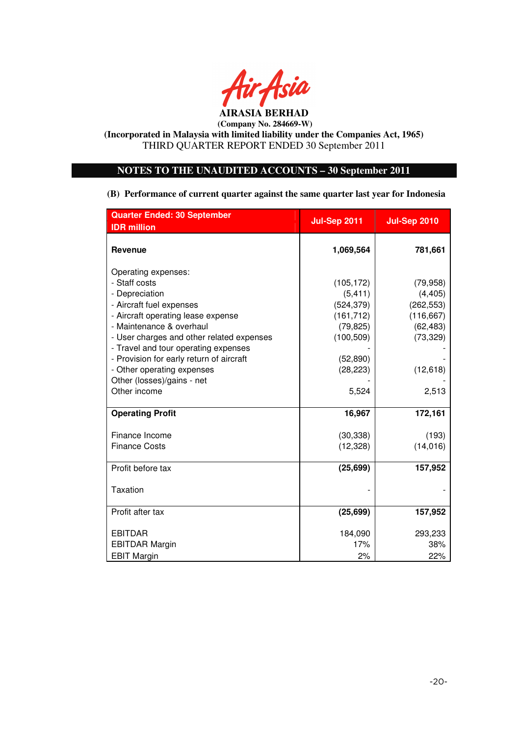

# **NOTES TO THE UNAUDITED ACCOUNTS – 30 September 2011**

**(B) Performance of current quarter against the same quarter last year for Indonesia** 

| <b>Quarter Ended: 30 September</b>        | <b>Jul-Sep 2011</b> | <b>Jul-Sep 2010</b> |
|-------------------------------------------|---------------------|---------------------|
| <b>IDR</b> million                        |                     |                     |
| <b>Revenue</b>                            | 1,069,564           | 781,661             |
| Operating expenses:                       |                     |                     |
| - Staff costs                             | (105, 172)          | (79, 958)           |
| - Depreciation                            | (5, 411)            | (4, 405)            |
| - Aircraft fuel expenses                  | (524, 379)          | (262, 553)          |
| - Aircraft operating lease expense        | (161, 712)          | (116, 667)          |
| - Maintenance & overhaul                  | (79, 825)           | (62, 483)           |
| - User charges and other related expenses | (100, 509)          | (73, 329)           |
| - Travel and tour operating expenses      |                     |                     |
| - Provision for early return of aircraft  | (52, 890)           |                     |
| - Other operating expenses                | (28, 223)           | (12, 618)           |
| Other (losses)/gains - net                |                     |                     |
| Other income                              | 5,524               | 2,513               |
| <b>Operating Profit</b>                   | 16,967              | 172,161             |
| Finance Income                            | (30, 338)           | (193)               |
| <b>Finance Costs</b>                      | (12, 328)           | (14, 016)           |
| Profit before tax                         | (25, 699)           | 157,952             |
| <b>Taxation</b>                           |                     |                     |
| Profit after tax                          | (25, 699)           | 157,952             |
| <b>EBITDAR</b>                            | 184,090             | 293,233             |
| <b>EBITDAR Margin</b>                     | 17%                 | 38%                 |
| <b>EBIT Margin</b>                        | 2%                  | 22%                 |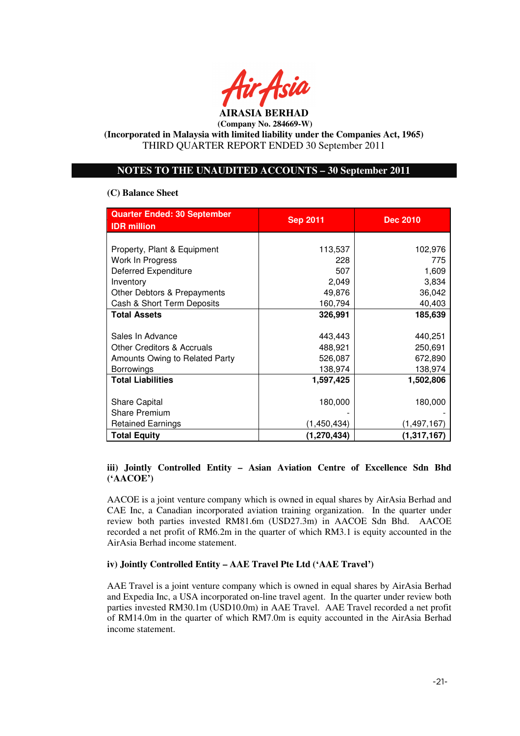

# **NOTES TO THE UNAUDITED ACCOUNTS – 30 September 2011**

## **(C) Balance Sheet**

| <b>Quarter Ended: 30 September</b><br><b>IDR</b> million | <b>Sep 2011</b> | <b>Dec 2010</b> |  |
|----------------------------------------------------------|-----------------|-----------------|--|
|                                                          |                 |                 |  |
| Property, Plant & Equipment                              | 113,537         | 102,976         |  |
| Work In Progress                                         | 228             | 775             |  |
| <b>Deferred Expenditure</b>                              | 507             | 1,609           |  |
| Inventory                                                | 2.049           | 3,834           |  |
| Other Debtors & Prepayments                              | 49,876          | 36,042          |  |
| Cash & Short Term Deposits                               | 160,794         | 40,403          |  |
| <b>Total Assets</b>                                      | 326,991         | 185,639         |  |
|                                                          |                 |                 |  |
| Sales In Advance                                         | 443,443         | 440,251         |  |
| <b>Other Creditors &amp; Accruals</b>                    | 488,921         | 250,691         |  |
| Amounts Owing to Related Party                           | 526,087         | 672,890         |  |
| <b>Borrowings</b>                                        | 138,974         | 138,974         |  |
| <b>Total Liabilities</b>                                 | 1,597,425       | 1,502,806       |  |
|                                                          |                 |                 |  |
| Share Capital                                            | 180,000         | 180,000         |  |
| <b>Share Premium</b>                                     |                 |                 |  |
| <b>Retained Earnings</b>                                 | (1,450,434)     | (1, 497, 167)   |  |
| <b>Total Equity</b>                                      | (1,270,434)     | (1, 317, 167)   |  |

# **iii) Jointly Controlled Entity – Asian Aviation Centre of Excellence Sdn Bhd ('AACOE')**

AACOE is a joint venture company which is owned in equal shares by AirAsia Berhad and CAE Inc, a Canadian incorporated aviation training organization. In the quarter under review both parties invested RM81.6m (USD27.3m) in AACOE Sdn Bhd. AACOE recorded a net profit of RM6.2m in the quarter of which RM3.1 is equity accounted in the AirAsia Berhad income statement.

## **iv) Jointly Controlled Entity – AAE Travel Pte Ltd ('AAE Travel')**

AAE Travel is a joint venture company which is owned in equal shares by AirAsia Berhad and Expedia Inc, a USA incorporated on-line travel agent. In the quarter under review both parties invested RM30.1m (USD10.0m) in AAE Travel. AAE Travel recorded a net profit of RM14.0m in the quarter of which RM7.0m is equity accounted in the AirAsia Berhad income statement.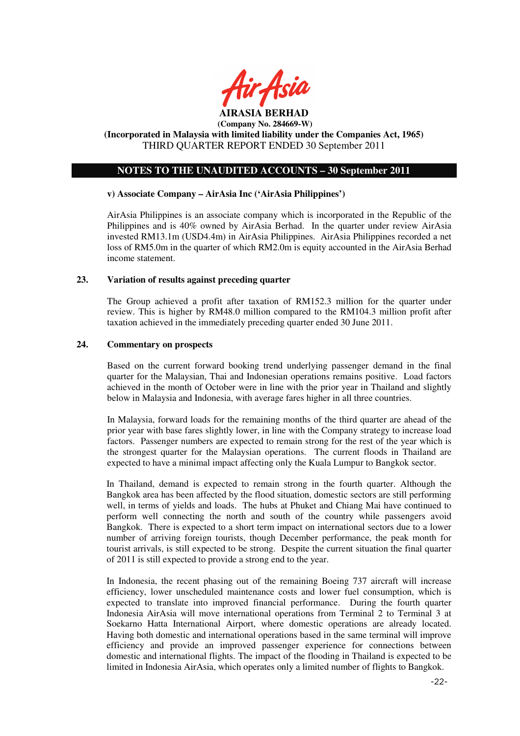

## **NOTES TO THE UNAUDITED ACCOUNTS – 30 September 2011**

#### **v) Associate Company – AirAsia Inc ('AirAsia Philippines')**

AirAsia Philippines is an associate company which is incorporated in the Republic of the Philippines and is 40% owned by AirAsia Berhad. In the quarter under review AirAsia invested RM13.1m (USD4.4m) in AirAsia Philippines. AirAsia Philippines recorded a net loss of RM5.0m in the quarter of which RM2.0m is equity accounted in the AirAsia Berhad income statement.

#### **23. Variation of results against preceding quarter**

The Group achieved a profit after taxation of RM152.3 million for the quarter under review. This is higher by RM48.0 million compared to the RM104.3 million profit after taxation achieved in the immediately preceding quarter ended 30 June 2011.

#### **24. Commentary on prospects**

Based on the current forward booking trend underlying passenger demand in the final quarter for the Malaysian, Thai and Indonesian operations remains positive. Load factors achieved in the month of October were in line with the prior year in Thailand and slightly below in Malaysia and Indonesia, with average fares higher in all three countries.

In Malaysia, forward loads for the remaining months of the third quarter are ahead of the prior year with base fares slightly lower, in line with the Company strategy to increase load factors. Passenger numbers are expected to remain strong for the rest of the year which is the strongest quarter for the Malaysian operations. The current floods in Thailand are expected to have a minimal impact affecting only the Kuala Lumpur to Bangkok sector.

In Thailand, demand is expected to remain strong in the fourth quarter. Although the Bangkok area has been affected by the flood situation, domestic sectors are still performing well, in terms of yields and loads. The hubs at Phuket and Chiang Mai have continued to perform well connecting the north and south of the country while passengers avoid Bangkok. There is expected to a short term impact on international sectors due to a lower number of arriving foreign tourists, though December performance, the peak month for tourist arrivals, is still expected to be strong. Despite the current situation the final quarter of 2011 is still expected to provide a strong end to the year.

In Indonesia, the recent phasing out of the remaining Boeing 737 aircraft will increase efficiency, lower unscheduled maintenance costs and lower fuel consumption, which is expected to translate into improved financial performance. During the fourth quarter Indonesia AirAsia will move international operations from Terminal 2 to Terminal 3 at Soekarno Hatta International Airport, where domestic operations are already located. Having both domestic and international operations based in the same terminal will improve efficiency and provide an improved passenger experience for connections between domestic and international flights. The impact of the flooding in Thailand is expected to be limited in Indonesia AirAsia, which operates only a limited number of flights to Bangkok.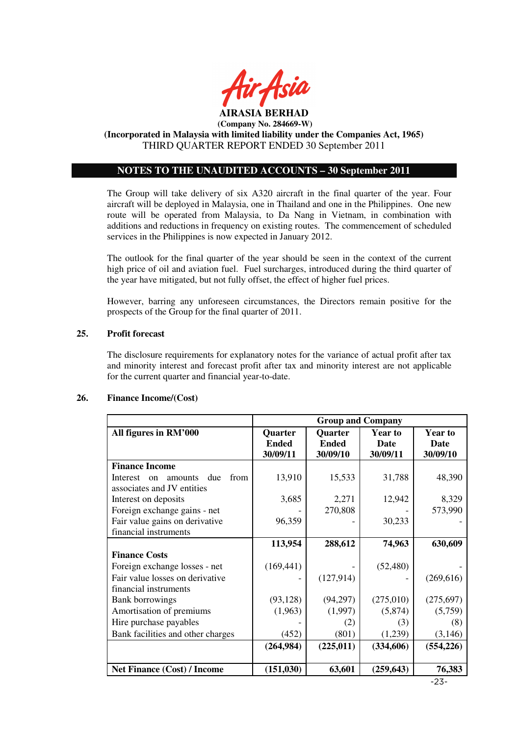

# **NOTES TO THE UNAUDITED ACCOUNTS – 30 September 2011**

The Group will take delivery of six A320 aircraft in the final quarter of the year. Four aircraft will be deployed in Malaysia, one in Thailand and one in the Philippines. One new route will be operated from Malaysia, to Da Nang in Vietnam, in combination with additions and reductions in frequency on existing routes. The commencement of scheduled services in the Philippines is now expected in January 2012.

The outlook for the final quarter of the year should be seen in the context of the current high price of oil and aviation fuel. Fuel surcharges, introduced during the third quarter of the year have mitigated, but not fully offset, the effect of higher fuel prices.

However, barring any unforeseen circumstances, the Directors remain positive for the prospects of the Group for the final quarter of 2011.

#### **25. Profit forecast**

The disclosure requirements for explanatory notes for the variance of actual profit after tax and minority interest and forecast profit after tax and minority interest are not applicable for the current quarter and financial year-to-date.

#### **26. Finance Income/(Cost)**

|                                          | <b>Group and Company</b> |                          |                  |                  |
|------------------------------------------|--------------------------|--------------------------|------------------|------------------|
| All figures in RM'000                    | Quarter                  | <b>Quarter</b>           | <b>Year to</b>   | <b>Year to</b>   |
|                                          | <b>Ended</b><br>30/09/11 | <b>Ended</b><br>30/09/10 | Date<br>30/09/11 | Date<br>30/09/10 |
| <b>Finance Income</b>                    |                          |                          |                  |                  |
| from<br>due<br>Interest<br>amounts<br>on | 13,910                   | 15,533                   | 31,788           | 48,390           |
| associates and JV entities               |                          |                          |                  |                  |
| Interest on deposits                     | 3,685                    | 2,271                    | 12,942           | 8,329            |
| Foreign exchange gains - net             |                          | 270,808                  |                  | 573,990          |
| Fair value gains on derivative           | 96,359                   |                          | 30,233           |                  |
| financial instruments                    |                          |                          |                  |                  |
|                                          | 113,954                  | 288,612                  | 74,963           | 630,609          |
| <b>Finance Costs</b>                     |                          |                          |                  |                  |
| Foreign exchange losses - net            | (169, 441)               |                          | (52, 480)        |                  |
| Fair value losses on derivative          |                          | (127, 914)               |                  | (269, 616)       |
| financial instruments                    |                          |                          |                  |                  |
| <b>Bank borrowings</b>                   | (93, 128)                | (94,297)                 | (275,010)        | (275, 697)       |
| Amortisation of premiums                 | (1,963)                  | (1,997)                  | (5,874)          | (5,759)          |
| Hire purchase payables                   |                          | (2)                      | (3)              | (8)              |
| Bank facilities and other charges        | (452)                    | (801)                    | (1,239)          | (3,146)          |
|                                          | (264, 984)               | (225, 011)               | (334, 606)       | (554, 226)       |
|                                          |                          |                          |                  |                  |
| <b>Net Finance (Cost) / Income</b>       | (151, 030)               | 63,601                   | (259, 643)       | 76,383           |

-23-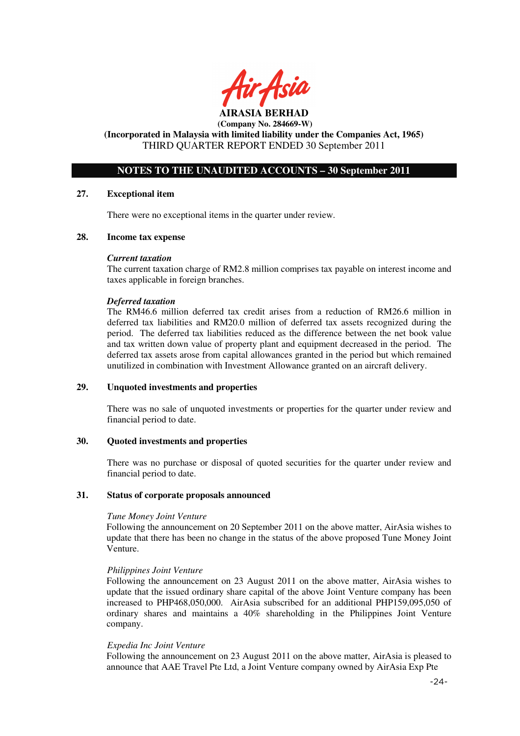

## **NOTES TO THE UNAUDITED ACCOUNTS – 30 September 2011**

#### **27. Exceptional item**

There were no exceptional items in the quarter under review.

#### **28. Income tax expense**

#### *Current taxation*

The current taxation charge of RM2.8 million comprises tax payable on interest income and taxes applicable in foreign branches.

#### *Deferred taxation*

The RM46.6 million deferred tax credit arises from a reduction of RM26.6 million in deferred tax liabilities and RM20.0 million of deferred tax assets recognized during the period. The deferred tax liabilities reduced as the difference between the net book value and tax written down value of property plant and equipment decreased in the period. The deferred tax assets arose from capital allowances granted in the period but which remained unutilized in combination with Investment Allowance granted on an aircraft delivery.

#### **29. Unquoted investments and properties**

There was no sale of unquoted investments or properties for the quarter under review and financial period to date.

#### **30. Quoted investments and properties**

There was no purchase or disposal of quoted securities for the quarter under review and financial period to date.

#### **31. Status of corporate proposals announced**

#### *Tune Money Joint Venture*

Following the announcement on 20 September 2011 on the above matter, AirAsia wishes to update that there has been no change in the status of the above proposed Tune Money Joint Venture.

#### *Philippines Joint Venture*

Following the announcement on 23 August 2011 on the above matter, AirAsia wishes to update that the issued ordinary share capital of the above Joint Venture company has been increased to PHP468,050,000. AirAsia subscribed for an additional PHP159,095,050 of ordinary shares and maintains a 40% shareholding in the Philippines Joint Venture company.

#### *Expedia Inc Joint Venture*

Following the announcement on 23 August 2011 on the above matter, AirAsia is pleased to announce that AAE Travel Pte Ltd, a Joint Venture company owned by AirAsia Exp Pte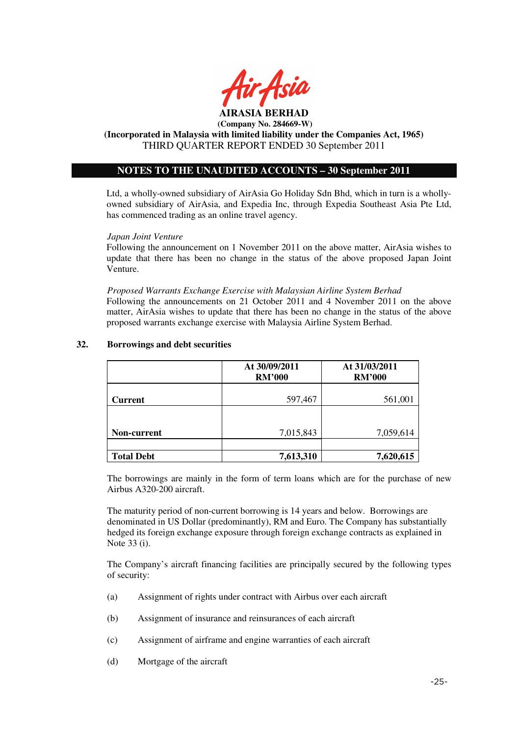

# **NOTES TO THE UNAUDITED ACCOUNTS – 30 September 2011**

Ltd, a wholly-owned subsidiary of AirAsia Go Holiday Sdn Bhd, which in turn is a whollyowned subsidiary of AirAsia, and Expedia Inc, through Expedia Southeast Asia Pte Ltd, has commenced trading as an online travel agency.

#### *Japan Joint Venture*

Following the announcement on 1 November 2011 on the above matter, AirAsia wishes to update that there has been no change in the status of the above proposed Japan Joint Venture.

*Proposed Warrants Exchange Exercise with Malaysian Airline System Berhad*  Following the announcements on 21 October 2011 and 4 November 2011 on the above matter, AirAsia wishes to update that there has been no change in the status of the above proposed warrants exchange exercise with Malaysia Airline System Berhad.

|                   | At 30/09/2011<br><b>RM'000</b> | At 31/03/2011<br><b>RM'000</b> |
|-------------------|--------------------------------|--------------------------------|
| <b>Current</b>    | 597,467                        | 561,001                        |
|                   |                                |                                |
| Non-current       | 7,015,843                      | 7,059,614                      |
|                   |                                |                                |
| <b>Total Debt</b> | 7,613,310                      | 7,620,615                      |

## **32. Borrowings and debt securities**

The borrowings are mainly in the form of term loans which are for the purchase of new Airbus A320-200 aircraft.

The maturity period of non-current borrowing is 14 years and below. Borrowings are denominated in US Dollar (predominantly), RM and Euro. The Company has substantially hedged its foreign exchange exposure through foreign exchange contracts as explained in Note 33 (i).

The Company's aircraft financing facilities are principally secured by the following types of security:

- (a) Assignment of rights under contract with Airbus over each aircraft
- (b) Assignment of insurance and reinsurances of each aircraft
- (c) Assignment of airframe and engine warranties of each aircraft
- (d) Mortgage of the aircraft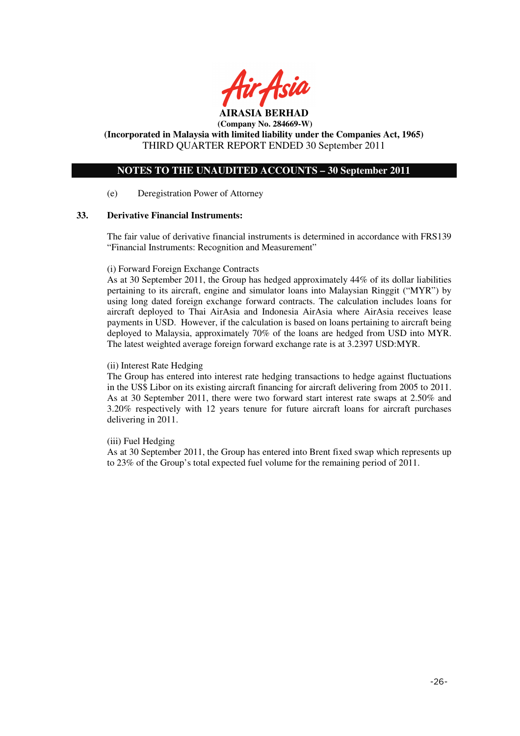

**AIRASIA BERHAD (Company No. 284669-W)** 

**(Incorporated in Malaysia with limited liability under the Companies Act, 1965)**  THIRD QUARTER REPORT ENDED 30 September 2011

# **NOTES TO THE UNAUDITED ACCOUNTS – 30 September 2011**

#### (e) Deregistration Power of Attorney

#### **33. Derivative Financial Instruments:**

The fair value of derivative financial instruments is determined in accordance with FRS139 "Financial Instruments: Recognition and Measurement"

#### (i) Forward Foreign Exchange Contracts

As at 30 September 2011, the Group has hedged approximately 44% of its dollar liabilities pertaining to its aircraft, engine and simulator loans into Malaysian Ringgit ("MYR") by using long dated foreign exchange forward contracts. The calculation includes loans for aircraft deployed to Thai AirAsia and Indonesia AirAsia where AirAsia receives lease payments in USD. However, if the calculation is based on loans pertaining to aircraft being deployed to Malaysia, approximately 70% of the loans are hedged from USD into MYR. The latest weighted average foreign forward exchange rate is at 3.2397 USD:MYR.

#### (ii) Interest Rate Hedging

The Group has entered into interest rate hedging transactions to hedge against fluctuations in the US\$ Libor on its existing aircraft financing for aircraft delivering from 2005 to 2011. As at 30 September 2011, there were two forward start interest rate swaps at 2.50% and 3.20% respectively with 12 years tenure for future aircraft loans for aircraft purchases delivering in 2011.

#### (iii) Fuel Hedging

As at 30 September 2011, the Group has entered into Brent fixed swap which represents up to 23% of the Group's total expected fuel volume for the remaining period of 2011.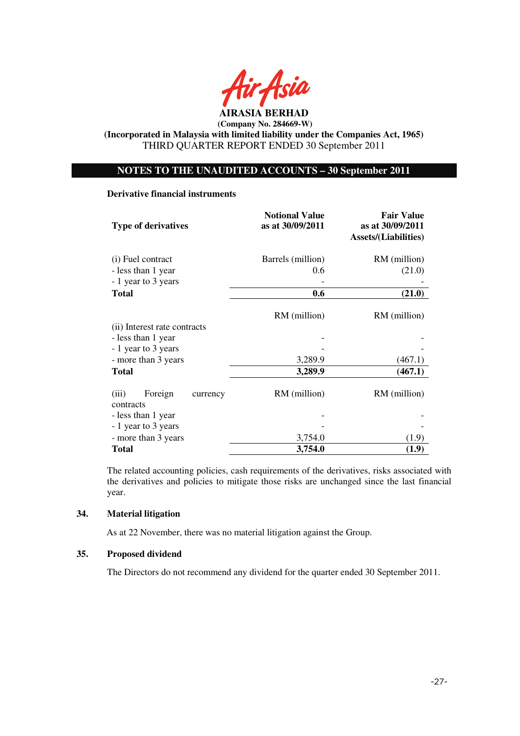

## **NOTES TO THE UNAUDITED ACCOUNTS – 30 September 2011**

#### **Derivative financial instruments**

| <b>Type of derivatives</b>                | <b>Notional Value</b><br>as at 30/09/2011 | <b>Fair Value</b><br>as at 30/09/2011<br><b>Assets/(Liabilities)</b> |  |
|-------------------------------------------|-------------------------------------------|----------------------------------------------------------------------|--|
| (i) Fuel contract                         | Barrels (million)                         | RM (million)                                                         |  |
| - less than 1 year                        | 0.6                                       | (21.0)                                                               |  |
| - 1 year to 3 years                       |                                           |                                                                      |  |
| <b>Total</b>                              | 0.6                                       | (21.0)                                                               |  |
| (ii) Interest rate contracts              | RM (million)                              | RM (million)                                                         |  |
| - less than 1 year                        |                                           |                                                                      |  |
| - 1 year to 3 years                       |                                           |                                                                      |  |
| - more than 3 years                       | 3,289.9                                   | (467.1)                                                              |  |
| <b>Total</b>                              | 3,289.9                                   | (467.1)                                                              |  |
| Foreign<br>(iii)<br>currency<br>contracts | RM (million)                              | RM (million)                                                         |  |
| - less than 1 year                        |                                           |                                                                      |  |
| - 1 year to 3 years                       |                                           |                                                                      |  |
| - more than 3 years                       | 3,754.0                                   | (1.9)                                                                |  |
| <b>Total</b>                              | 3,754.0                                   | (1.9)                                                                |  |

The related accounting policies, cash requirements of the derivatives, risks associated with the derivatives and policies to mitigate those risks are unchanged since the last financial year.

## **34. Material litigation**

As at 22 November, there was no material litigation against the Group.

## **35. Proposed dividend**

The Directors do not recommend any dividend for the quarter ended 30 September 2011.